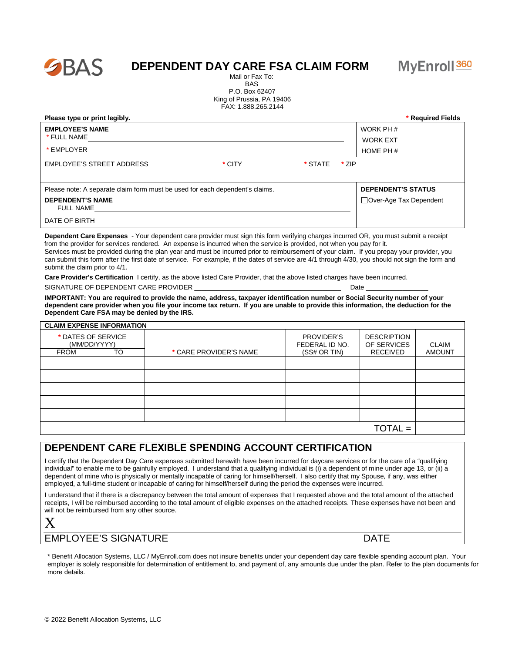

## **DEPENDENT DAY CARE FSA CLAIM FORM**

 Mail or Fax To: BAS P.O. Box 62407 King of Prussia, PA 19406 FAX: 1.888.265.2144

| Please type or print legibly.                                                |         |       | * Required Fields            |
|------------------------------------------------------------------------------|---------|-------|------------------------------|
| <b>EMPLOYEE'S NAME</b><br>* FULL NAME                                        |         |       | WORK PH #<br><b>WORK EXT</b> |
| * EMPLOYER                                                                   |         |       | HOME PH $#$                  |
| <b>EMPLOYEE'S STREET ADDRESS</b><br>* CITY                                   | * STATE | * ZIP |                              |
| Please note: A separate claim form must be used for each dependent's claims. |         |       | <b>DEPENDENT'S STATUS</b>    |
| <b>DEPENDENT'S NAME</b><br><b>FULL NAME</b>                                  |         |       | □ Over-Age Tax Dependent     |
| DATE OF BIRTH                                                                |         |       |                              |

**Dependent Care Expenses** - Your dependent care provider must sign this form verifying charges incurred OR, you must submit a receipt from the provider for services rendered. An expense is incurred when the service is provided, not when you pay for it. Services must be provided during the plan year and must be incurred prior to reimbursement of your claim. If you prepay your provider, you can submit this form after the first date of service. For example, if the dates of service are 4/1 through 4/30, you should not sign the form and submit the claim prior to 4/1.

**Care Provider's Certification** I certify, as the above listed Care Provider, that the above listed charges have been incurred. SIGNATURE OF DEPENDENT CARE PROVIDER **Example 10** and the state of the contract of the contract of the contract of the contract of the contract of the contract of the contract of the contract of the contract of the contrac

**IMPORTANT: You are required to provide the name, address, taxpayer identification number or Social Security number of your dependent care provider when you file your income tax return. If you are unable to provide this information, the deduction for the Dependent Care FSA may be denied by the IRS.**

|                                    | <b>CLAIM EXPENSE INFORMATION</b> |                        |                              |                                   |               |
|------------------------------------|----------------------------------|------------------------|------------------------------|-----------------------------------|---------------|
| * DATES OF SERVICE<br>(MM/DD/YYYY) |                                  |                        | PROVIDER'S<br>FEDERAL ID NO. | <b>DESCRIPTION</b><br>OF SERVICES | <b>CLAIM</b>  |
| <b>FROM</b>                        | <b>TO</b>                        | * CARE PROVIDER'S NAME | (SS# OR TIN)                 | RECEIVED                          | <b>AMOUNT</b> |
|                                    |                                  |                        |                              |                                   |               |
|                                    |                                  |                        |                              |                                   |               |
|                                    |                                  |                        |                              |                                   |               |
|                                    |                                  |                        |                              |                                   |               |
|                                    |                                  |                        |                              |                                   |               |
|                                    |                                  |                        |                              | $TOTAL =$                         |               |

## **DEPENDENT CARE FLEXIBLE SPENDING ACCOUNT CERTIFICATION**

I certify that the Dependent Day Care expenses submitted herewith have been incurred for daycare services or for the care of a "qualifying individual" to enable me to be gainfully employed. I understand that a qualifying individual is (i) a dependent of mine under age 13, or (ii) a dependent of mine who is physically or mentally incapable of caring for himself/herself. I also certify that my Spouse, if any, was either employed, a full-time student or incapable of caring for himself/herself during the period the expenses were incurred.

I understand that if there is a discrepancy between the total amount of expenses that I requested above and the total amount of the attached receipts, I will be reimbursed according to the total amount of eligible expenses on the attached receipts. These expenses have not been and will not be reimbursed from any other source.

X

## EMPLOYEE'S SIGNATURE DATE

\* Benefit Allocation Systems, LLC / MyEnroll.com does not insure benefits under your dependent day care flexible spending account plan. Your employer is solely responsible for determination of entitlement to, and payment of, any amounts due under the plan. Refer to the plan documents for more details.